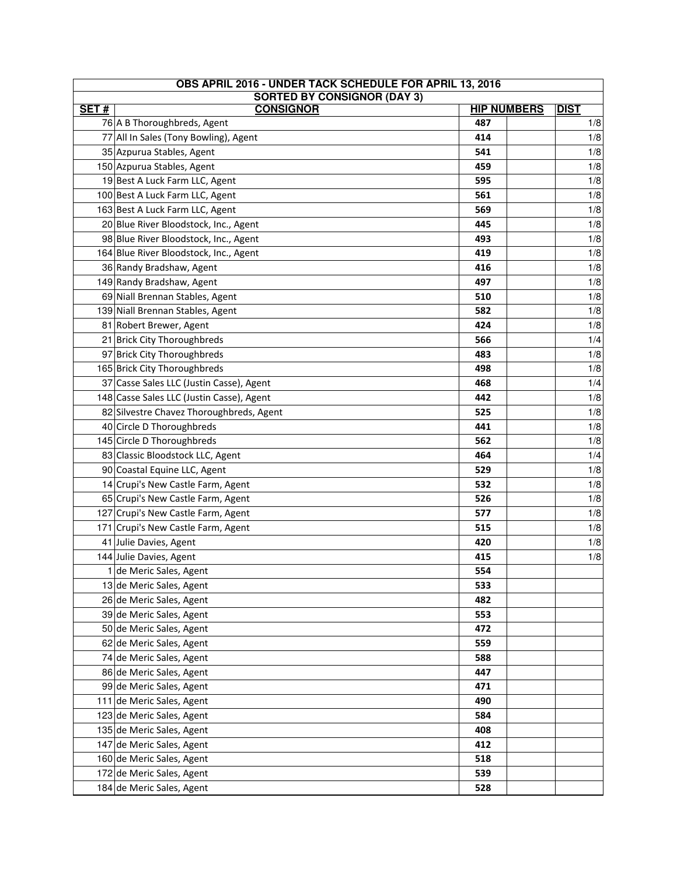| OBS APRIL 2016 - UNDER TACK SCHEDULE FOR APRIL 13, 2016  |                                           |     |  |             |  |
|----------------------------------------------------------|-------------------------------------------|-----|--|-------------|--|
| <b>SORTED BY CONSIGNOR (DAY 3)</b><br><b>HIP NUMBERS</b> |                                           |     |  |             |  |
| SET#                                                     | <b>CONSIGNOR</b>                          |     |  | <b>DIST</b> |  |
|                                                          | 76 A B Thoroughbreds, Agent               | 487 |  | 1/8         |  |
|                                                          | 77 All In Sales (Tony Bowling), Agent     | 414 |  | 1/8         |  |
|                                                          | 35 Azpurua Stables, Agent                 | 541 |  | 1/8         |  |
|                                                          | 150 Azpurua Stables, Agent                | 459 |  | 1/8         |  |
|                                                          | 19 Best A Luck Farm LLC, Agent            | 595 |  | 1/8         |  |
|                                                          | 100 Best A Luck Farm LLC, Agent           | 561 |  | 1/8         |  |
|                                                          | 163 Best A Luck Farm LLC, Agent           | 569 |  | 1/8         |  |
|                                                          | 20 Blue River Bloodstock, Inc., Agent     | 445 |  | 1/8         |  |
|                                                          | 98 Blue River Bloodstock, Inc., Agent     | 493 |  | 1/8         |  |
|                                                          | 164 Blue River Bloodstock, Inc., Agent    | 419 |  | 1/8         |  |
|                                                          | 36 Randy Bradshaw, Agent                  | 416 |  | 1/8         |  |
|                                                          | 149 Randy Bradshaw, Agent                 | 497 |  | 1/8         |  |
|                                                          | 69 Niall Brennan Stables, Agent           | 510 |  | 1/8         |  |
|                                                          | 139 Niall Brennan Stables, Agent          | 582 |  | 1/8         |  |
|                                                          | 81 Robert Brewer, Agent                   | 424 |  | 1/8         |  |
|                                                          | 21 Brick City Thoroughbreds               | 566 |  | 1/4         |  |
|                                                          | 97 Brick City Thoroughbreds               | 483 |  | 1/8         |  |
|                                                          | 165 Brick City Thoroughbreds              | 498 |  | 1/8         |  |
|                                                          | 37 Casse Sales LLC (Justin Casse), Agent  | 468 |  | 1/4         |  |
|                                                          | 148 Casse Sales LLC (Justin Casse), Agent | 442 |  | 1/8         |  |
|                                                          | 82 Silvestre Chavez Thoroughbreds, Agent  | 525 |  | 1/8         |  |
|                                                          | 40 Circle D Thoroughbreds                 | 441 |  | 1/8         |  |
|                                                          | 145 Circle D Thoroughbreds                | 562 |  | 1/8         |  |
|                                                          | 83 Classic Bloodstock LLC, Agent          | 464 |  | 1/4         |  |
|                                                          | 90 Coastal Equine LLC, Agent              | 529 |  | 1/8         |  |
|                                                          | 14 Crupi's New Castle Farm, Agent         | 532 |  | 1/8         |  |
|                                                          | 65 Crupi's New Castle Farm, Agent         | 526 |  | 1/8         |  |
|                                                          | 127 Crupi's New Castle Farm, Agent        | 577 |  | 1/8         |  |
|                                                          | 171 Crupi's New Castle Farm, Agent        | 515 |  | 1/8         |  |
|                                                          | 41 Julie Davies, Agent                    | 420 |  | 1/8         |  |
|                                                          | 144 Julie Davies, Agent                   | 415 |  | 1/8         |  |
|                                                          | 1 de Meric Sales, Agent                   | 554 |  |             |  |
|                                                          | 13 de Meric Sales, Agent                  | 533 |  |             |  |
|                                                          | 26 de Meric Sales, Agent                  | 482 |  |             |  |
|                                                          | 39 de Meric Sales, Agent                  | 553 |  |             |  |
|                                                          | 50 de Meric Sales, Agent                  | 472 |  |             |  |
|                                                          | 62 de Meric Sales, Agent                  | 559 |  |             |  |
|                                                          | 74 de Meric Sales, Agent                  | 588 |  |             |  |
|                                                          | 86 de Meric Sales, Agent                  | 447 |  |             |  |
|                                                          | 99 de Meric Sales, Agent                  | 471 |  |             |  |
|                                                          | 111 de Meric Sales, Agent                 | 490 |  |             |  |
|                                                          | 123 de Meric Sales, Agent                 | 584 |  |             |  |
|                                                          | 135 de Meric Sales, Agent                 | 408 |  |             |  |
|                                                          | 147 de Meric Sales, Agent                 | 412 |  |             |  |
|                                                          | 160 de Meric Sales, Agent                 | 518 |  |             |  |
|                                                          | 172 de Meric Sales, Agent                 | 539 |  |             |  |
|                                                          | 184 de Meric Sales, Agent                 | 528 |  |             |  |
|                                                          |                                           |     |  |             |  |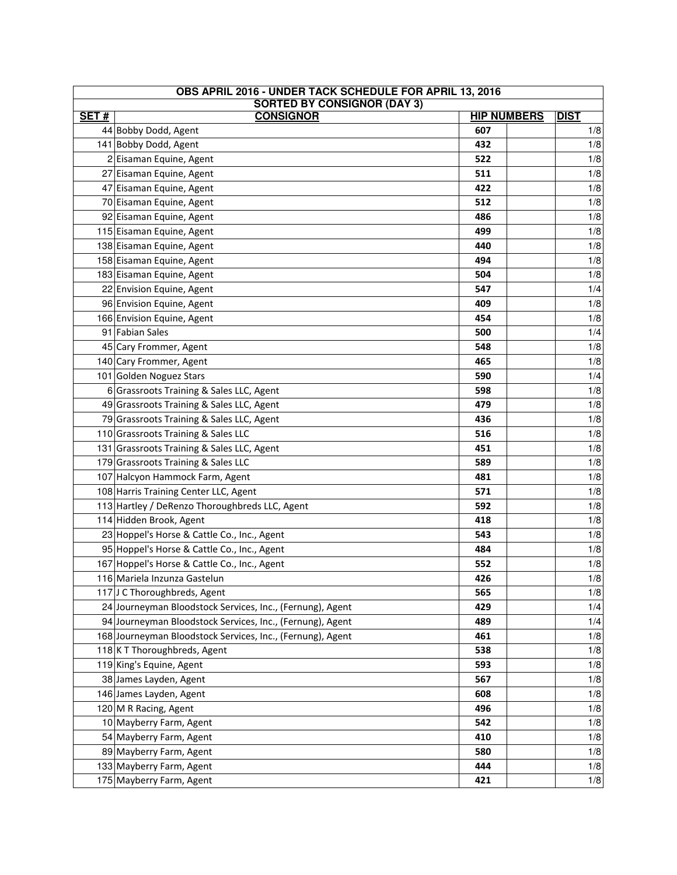| OBS APRIL 2016 - UNDER TACK SCHEDULE FOR APRIL 13, 2016<br><b>SORTED BY CONSIGNOR (DAY 3)</b> |                                                            |                    |             |       |
|-----------------------------------------------------------------------------------------------|------------------------------------------------------------|--------------------|-------------|-------|
| SET#                                                                                          | <b>CONSIGNOR</b>                                           | <b>HIP NUMBERS</b> | <b>DIST</b> |       |
|                                                                                               | 44 Bobby Dodd, Agent                                       | 607                |             | 1/8   |
|                                                                                               | 141 Bobby Dodd, Agent                                      | 432                |             | 1/8   |
|                                                                                               | 2 Eisaman Equine, Agent                                    | 522                |             | 1/8   |
|                                                                                               | 27 Eisaman Equine, Agent                                   | 511                |             | 1/8   |
|                                                                                               | 47 Eisaman Equine, Agent                                   | 422                |             | 1/8   |
|                                                                                               | 70 Eisaman Equine, Agent                                   | 512                |             | 1/8   |
|                                                                                               | 92 Eisaman Equine, Agent                                   | 486                |             | 1/8   |
|                                                                                               | 115 Eisaman Equine, Agent                                  | 499                |             | 1/8   |
|                                                                                               | 138 Eisaman Equine, Agent                                  | 440                |             | 1/8   |
|                                                                                               | 158 Eisaman Equine, Agent                                  | 494                |             | 1/8   |
|                                                                                               | 183 Eisaman Equine, Agent                                  | 504                |             | 1/8   |
|                                                                                               | 22 Envision Equine, Agent                                  | 547                |             | 1/4   |
|                                                                                               | 96 Envision Equine, Agent                                  | 409                |             | 1/8   |
|                                                                                               | 166 Envision Equine, Agent                                 | 454                |             | 1/8   |
|                                                                                               | 91 Fabian Sales                                            | 500                |             | 1/4   |
|                                                                                               | 45 Cary Frommer, Agent                                     | 548                |             | 1/8   |
|                                                                                               | 140 Cary Frommer, Agent                                    | 465                |             | 1/8   |
|                                                                                               | 101 Golden Noguez Stars                                    | 590                |             | 1/4   |
|                                                                                               | 6 Grassroots Training & Sales LLC, Agent                   | 598                |             | 1/8   |
|                                                                                               | 49 Grassroots Training & Sales LLC, Agent                  | 479                |             | 1/8   |
|                                                                                               | 79 Grassroots Training & Sales LLC, Agent                  | 436                |             | 1/8   |
|                                                                                               | 110 Grassroots Training & Sales LLC                        | 516                |             | 1/8   |
|                                                                                               | 131 Grassroots Training & Sales LLC, Agent                 | 451                |             | 1/8   |
|                                                                                               | 179 Grassroots Training & Sales LLC                        | 589                |             | 1/8   |
|                                                                                               | 107 Halcyon Hammock Farm, Agent                            | 481                |             | 1/8   |
|                                                                                               | 108 Harris Training Center LLC, Agent                      | 571                |             | 1/8   |
|                                                                                               | 113 Hartley / DeRenzo Thoroughbreds LLC, Agent             | 592                |             | 1/8   |
|                                                                                               | 114 Hidden Brook, Agent                                    | 418                |             | 1/8   |
|                                                                                               | 23 Hoppel's Horse & Cattle Co., Inc., Agent                | 543                |             | 1/8   |
|                                                                                               | 95 Hoppel's Horse & Cattle Co., Inc., Agent                | 484                |             | 1/8   |
|                                                                                               | 167 Hoppel's Horse & Cattle Co., Inc., Agent               | 552                |             | 1/8   |
|                                                                                               | 116 Mariela Inzunza Gastelun                               | 426                |             | $1/8$ |
|                                                                                               | 117J C Thoroughbreds, Agent                                | 565                |             | 1/8   |
|                                                                                               | 24 Journeyman Bloodstock Services, Inc., (Fernung), Agent  | 429                |             | 1/4   |
|                                                                                               | 94 Journeyman Bloodstock Services, Inc., (Fernung), Agent  | 489                |             | 1/4   |
|                                                                                               | 168 Journeyman Bloodstock Services, Inc., (Fernung), Agent | 461                |             | 1/8   |
|                                                                                               | 118 K T Thoroughbreds, Agent                               | 538                |             | 1/8   |
|                                                                                               | 119 King's Equine, Agent                                   | 593                |             | 1/8   |
|                                                                                               | 38 James Layden, Agent                                     | 567                |             | 1/8   |
|                                                                                               | 146 James Layden, Agent                                    | 608                |             | 1/8   |
|                                                                                               | 120 M R Racing, Agent                                      | 496                |             | 1/8   |
|                                                                                               | 10 Mayberry Farm, Agent                                    | 542                |             | 1/8   |
|                                                                                               | 54 Mayberry Farm, Agent                                    | 410                |             | 1/8   |
|                                                                                               | 89 Mayberry Farm, Agent                                    | 580                |             | 1/8   |
|                                                                                               | 133 Mayberry Farm, Agent                                   | 444                |             | 1/8   |
|                                                                                               | 175 Mayberry Farm, Agent                                   | 421                |             | 1/8   |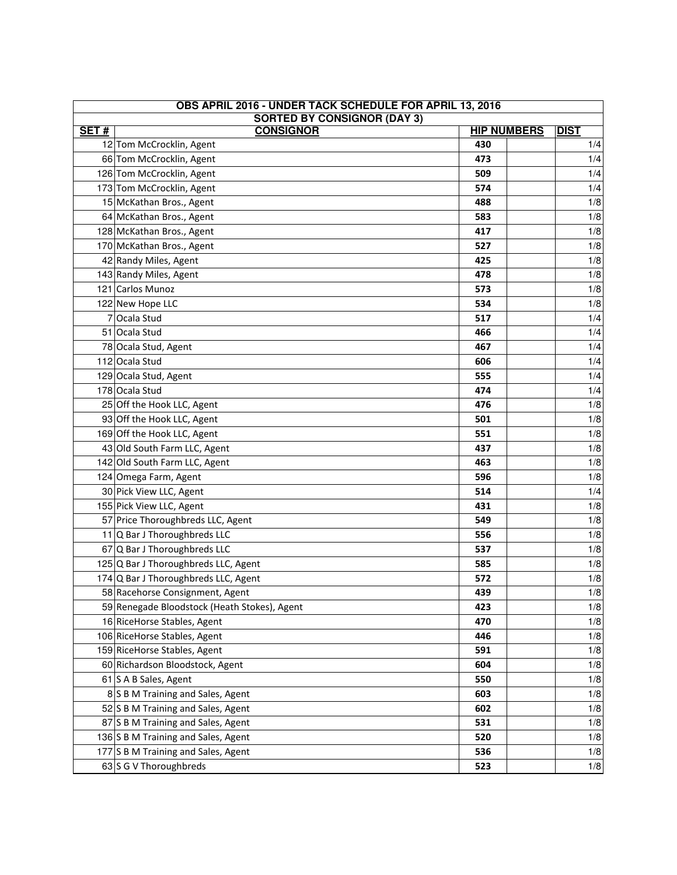| OBS APRIL 2016 - UNDER TACK SCHEDULE FOR APRIL 13, 2016 |                                                          |     |  |                    |
|---------------------------------------------------------|----------------------------------------------------------|-----|--|--------------------|
| SET#                                                    | <b>SORTED BY CONSIGNOR (DAY 3)</b><br><b>HIP NUMBERS</b> |     |  |                    |
|                                                         | <b>CONSIGNOR</b><br>12 Tom McCrocklin, Agent             | 430 |  | <b>DIST</b><br>1/4 |
|                                                         | 66 Tom McCrocklin, Agent                                 | 473 |  | 1/4                |
|                                                         | 126 Tom McCrocklin, Agent                                | 509 |  | 1/4                |
|                                                         | 173 Tom McCrocklin, Agent                                | 574 |  | 1/4                |
|                                                         | 15 McKathan Bros., Agent                                 | 488 |  | 1/8                |
|                                                         | 64 McKathan Bros., Agent                                 | 583 |  | 1/8                |
|                                                         | 128 McKathan Bros., Agent                                | 417 |  | 1/8                |
|                                                         | 170 McKathan Bros., Agent                                | 527 |  | 1/8                |
|                                                         | 42 Randy Miles, Agent                                    | 425 |  | 1/8                |
|                                                         | 143 Randy Miles, Agent                                   | 478 |  | 1/8                |
|                                                         | 121 Carlos Munoz                                         | 573 |  | 1/8                |
|                                                         | 122 New Hope LLC                                         | 534 |  | 1/8                |
|                                                         | 7 Ocala Stud                                             | 517 |  | 1/4                |
|                                                         | 51 Ocala Stud                                            | 466 |  | 1/4                |
|                                                         | 78 Ocala Stud, Agent                                     | 467 |  | 1/4                |
|                                                         | 112 Ocala Stud                                           | 606 |  | 1/4                |
|                                                         | 129 Ocala Stud, Agent                                    | 555 |  | 1/4                |
|                                                         | 178 Ocala Stud                                           | 474 |  | 1/4                |
|                                                         | 25 Off the Hook LLC, Agent                               | 476 |  | 1/8                |
|                                                         | 93 Off the Hook LLC, Agent                               | 501 |  | 1/8                |
|                                                         | 169 Off the Hook LLC, Agent                              | 551 |  | 1/8                |
|                                                         | 43 Old South Farm LLC, Agent                             | 437 |  | 1/8                |
|                                                         | 142 Old South Farm LLC, Agent                            | 463 |  | 1/8                |
|                                                         | 124 Omega Farm, Agent                                    | 596 |  | 1/8                |
|                                                         | 30 Pick View LLC, Agent                                  | 514 |  | 1/4                |
|                                                         | 155 Pick View LLC, Agent                                 | 431 |  | 1/8                |
|                                                         | 57 Price Thoroughbreds LLC, Agent                        | 549 |  | 1/8                |
|                                                         | 11 Q Bar J Thoroughbreds LLC                             | 556 |  | 1/8                |
|                                                         | 67 Q Bar J Thoroughbreds LLC                             | 537 |  | 1/8                |
|                                                         | 125 Q Bar J Thoroughbreds LLC, Agent                     | 585 |  | 1/8                |
|                                                         | 174 Q Bar J Thoroughbreds LLC, Agent                     | 572 |  | 1/8                |
|                                                         | 58 Racehorse Consignment, Agent                          | 439 |  | 1/8                |
|                                                         | 59 Renegade Bloodstock (Heath Stokes), Agent             | 423 |  | 1/8                |
|                                                         | 16 RiceHorse Stables, Agent                              | 470 |  | 1/8                |
|                                                         | 106 RiceHorse Stables, Agent                             | 446 |  | 1/8                |
|                                                         | 159 RiceHorse Stables, Agent                             | 591 |  | 1/8                |
|                                                         | 60 Richardson Bloodstock, Agent                          | 604 |  | 1/8                |
|                                                         | 61 S A B Sales, Agent                                    | 550 |  | 1/8                |
|                                                         | 8 S B M Training and Sales, Agent                        | 603 |  | 1/8                |
|                                                         | 52 S B M Training and Sales, Agent                       | 602 |  | 1/8                |
|                                                         | 87 S B M Training and Sales, Agent                       | 531 |  | 1/8                |
|                                                         | 136 S B M Training and Sales, Agent                      | 520 |  | 1/8                |
|                                                         | 177 S B M Training and Sales, Agent                      | 536 |  | 1/8                |
|                                                         | 63 S G V Thoroughbreds                                   | 523 |  | 1/8                |